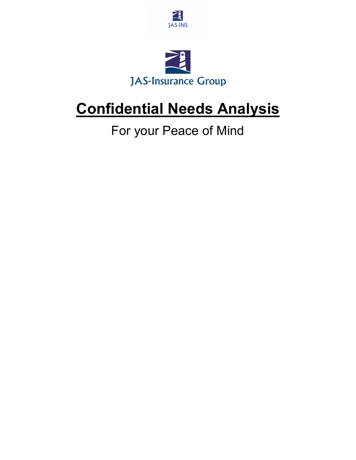



## **Confidential Needs Analysis**

For your Peace of Mind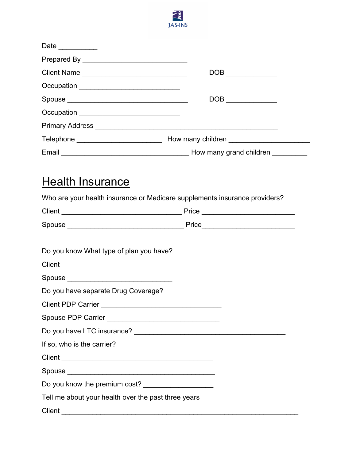

| Date __________                                                            |                                                                                                                                                                                                                                                                                                                                                     |
|----------------------------------------------------------------------------|-----------------------------------------------------------------------------------------------------------------------------------------------------------------------------------------------------------------------------------------------------------------------------------------------------------------------------------------------------|
|                                                                            |                                                                                                                                                                                                                                                                                                                                                     |
| Client Name _________________________________                              |                                                                                                                                                                                                                                                                                                                                                     |
| Occupation ______________________________                                  |                                                                                                                                                                                                                                                                                                                                                     |
|                                                                            | $\begin{picture}(180,10) \put(0,0){\line(1,0){10}} \put(15,0){\line(1,0){10}} \put(15,0){\line(1,0){10}} \put(15,0){\line(1,0){10}} \put(15,0){\line(1,0){10}} \put(15,0){\line(1,0){10}} \put(15,0){\line(1,0){10}} \put(15,0){\line(1,0){10}} \put(15,0){\line(1,0){10}} \put(15,0){\line(1,0){10}} \put(15,0){\line(1,0){10}} \put(15,0){\line($ |
| Occupation _________________________________                               |                                                                                                                                                                                                                                                                                                                                                     |
|                                                                            |                                                                                                                                                                                                                                                                                                                                                     |
|                                                                            |                                                                                                                                                                                                                                                                                                                                                     |
|                                                                            |                                                                                                                                                                                                                                                                                                                                                     |
|                                                                            |                                                                                                                                                                                                                                                                                                                                                     |
| Who are your health insurance or Medicare supplements insurance providers? |                                                                                                                                                                                                                                                                                                                                                     |
|                                                                            |                                                                                                                                                                                                                                                                                                                                                     |
|                                                                            |                                                                                                                                                                                                                                                                                                                                                     |
| Do you know What type of plan you have?                                    |                                                                                                                                                                                                                                                                                                                                                     |
|                                                                            |                                                                                                                                                                                                                                                                                                                                                     |
|                                                                            |                                                                                                                                                                                                                                                                                                                                                     |
| Do you have separate Drug Coverage?                                        |                                                                                                                                                                                                                                                                                                                                                     |
|                                                                            |                                                                                                                                                                                                                                                                                                                                                     |
|                                                                            |                                                                                                                                                                                                                                                                                                                                                     |
|                                                                            |                                                                                                                                                                                                                                                                                                                                                     |
|                                                                            |                                                                                                                                                                                                                                                                                                                                                     |

If so, who is the carrier?

Client \_\_\_\_\_\_\_\_\_\_\_\_\_\_\_\_\_\_\_\_\_\_\_\_\_\_\_\_\_\_\_\_\_\_\_\_\_\_\_

Spouse \_\_\_\_\_\_\_\_\_\_\_\_\_\_\_\_\_\_\_\_\_\_\_\_\_\_\_\_\_\_\_\_\_\_\_\_\_\_

Do you know the premium cost? \_\_\_\_\_\_\_\_\_\_\_\_\_\_\_\_\_\_

Tell me about your health over the past three years

Client \_\_\_\_\_\_\_\_\_\_\_\_\_\_\_\_\_\_\_\_\_\_\_\_\_\_\_\_\_\_\_\_\_\_\_\_\_\_\_\_\_\_\_\_\_\_\_\_\_\_\_\_\_\_\_\_\_\_\_\_\_